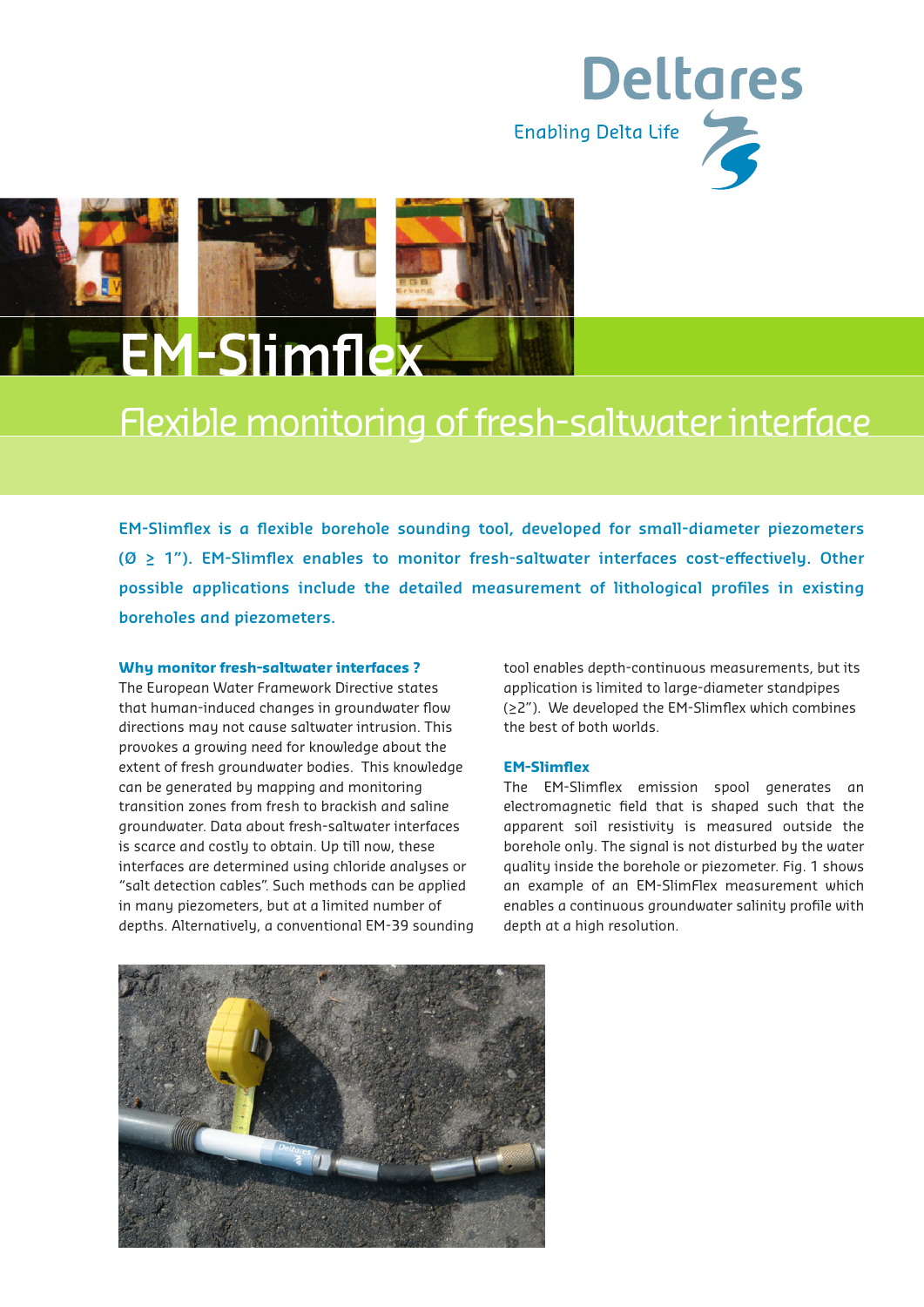



## Flexible monitoring of fresh-saltwater interface

**EM-Slimflex is a flexible borehole sounding tool, developed for small-diameter piezometers (Ø ≥ 1"). EM-Slimflex enables to monitor fresh-saltwater interfaces cost-effectively. Other possible applications include the detailed measurement of lithological profiles in existing boreholes and piezometers.**

#### **Why monitor fresh-saltwater interfaces ?**

The European Water Framework Directive states that human-induced changes in groundwater flow directions may not cause saltwater intrusion. This provokes a growing need for knowledge about the extent of fresh groundwater bodies. This knowledge can be generated by mapping and monitoring transition zones from fresh to brackish and saline groundwater. Data about fresh-saltwater interfaces is scarce and costly to obtain. Up till now, these interfaces are determined using chloride analyses or "salt detection cables". Such methods can be applied in many piezometers, but at a limited number of depths. Alternatively, a conventional EM-39 sounding

tool enables depth-continuous measurements, but its application is limited to large-diameter standpipes (≥2"). We developed the EM-Slimflex which combines the best of both worlds.

#### **EM-Slimflex**

The EM-Slimflex emission spool generates an electromagnetic field that is shaped such that the apparent soil resistivity is measured outside the borehole only. The signal is not disturbed by the water quality inside the borehole or piezometer. Fig. 1 shows an example of an EM-SlimFlex measurement which enables a continuous groundwater salinity profile with depth at a high resolution.